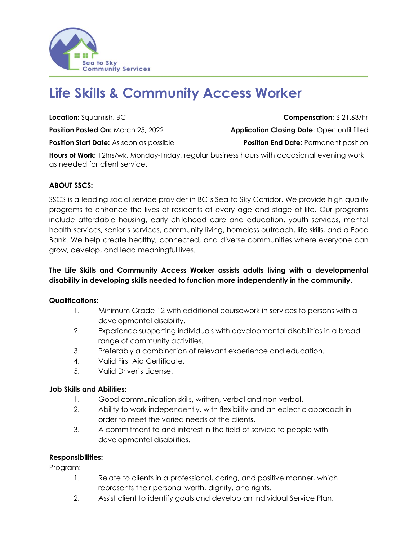

# **Life Skills & Community Access Worker**

**Position Start Date:** As soon as possible **Position End Date:** Permanent position

**Location:** Squamish, BC **Compensation:** \$ 21.63/hr **Position Posted On:** March 25, 2022 **Application Closing Date:** Open until filled

**Hours of Work:** 12hrs/wk, Monday-Friday, regular business hours with occasional evening work as needed for client service.

## **ABOUT SSCS:**

SSCS is a leading social service provider in BC's Sea to Sky Corridor. We provide high quality programs to enhance the lives of residents at every age and stage of life. Our programs include affordable housing, early childhood care and education, youth services, mental health services, senior's services, community living, homeless outreach, life skills, and a Food Bank. We help create healthy, connected, and diverse communities where everyone can grow, develop, and lead meaningful lives.

## **The Life Skills and Community Access Worker assists adults living with a developmental disability in developing skills needed to function more independently in the community.**

#### **Qualifications:**

- 1. Minimum Grade 12 with additional coursework in services to persons with a developmental disability.
- 2. Experience supporting individuals with developmental disabilities in a broad range of community activities.
- 3. Preferably a combination of relevant experience and education.
- 4. Valid First Aid Certificate.
- 5. Valid Driver's License.

#### **Job Skills and Abilities:**

- 1. Good communication skills, written, verbal and non-verbal.
- 2. Ability to work independently, with flexibility and an eclectic approach in order to meet the varied needs of the clients.
- 3. A commitment to and interest in the field of service to people with developmental disabilities.

#### **Responsibilities:**

Program:

- 1. Relate to clients in a professional, caring, and positive manner, which represents their personal worth, dignity, and rights.
- 2. Assist client to identify goals and develop an Individual Service Plan.